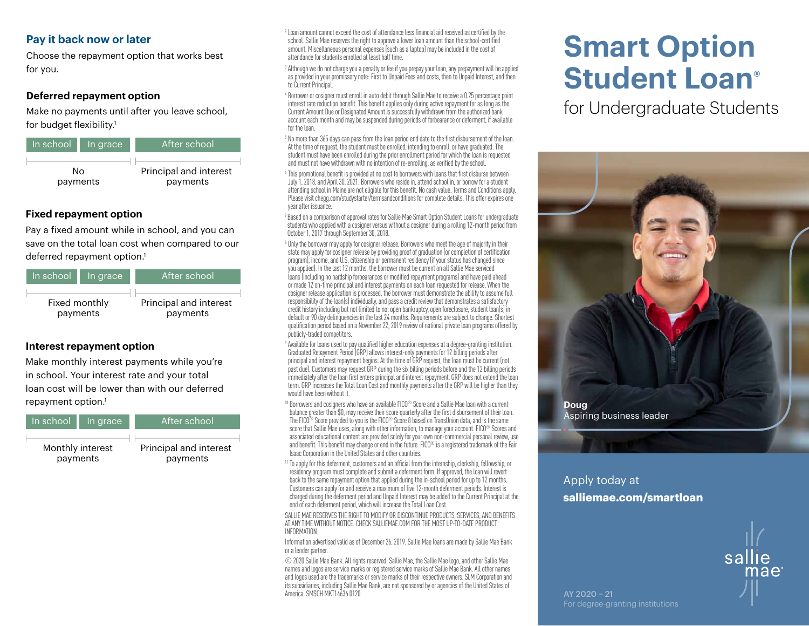### **Pay it back now or later**

Choose the repayment option that works best for you.

#### **Deferred repayment option**

Make no payments until after you leave school, for budget flexibility.<sup>1</sup>



#### **Fixed repayment option**

Pay a fixed amount while in school, and you can save on the total loan cost when compared to our deferred repayment option.<sup>1</sup>

| In school l   | In grace | After school           |
|---------------|----------|------------------------|
| Fixed monthly |          | Principal and interest |
| payments      |          | payments               |

#### **Interest repayment option**

Make monthly interest payments while you're in school. Your interest rate and your total loan cost will be lower than with our deferred repayment option.<sup>1</sup>



 $2$  Loan amount cannot exceed the cost of attendance less financial aid received as certified by the school. Sallie Mae reserves the right to approve a lower loan amount than the school-certified amount. Miscellaneous personal expenses (such as a laptop) may be included in the cost of attendance for students enrolled at least half time.

<sup>3</sup> Although we do not charge you a penalty or fee if you prepay your loan, any prepayment will be applied as provided in your promissory note: First to Unpaid Fees and costs, then to Unpaid Interest, and then to Current Principal.

<sup>4</sup> Borrower or cosigner must enroll in auto debit through Sallie Mae to receive a 0.25 percentage point interest rate reduction benefit. This benefit applies only during active repayment for as long as the Current Amount Due or Designated Amount is successfully withdrawn from the authorized bank account each month and may be suspended during periods of forbearance or deferment, if available for the loan.

 $5$  No more than  $365$  days can pass from the loan period end date to the first disbursement of the loan. At the time of request, the student must be enrolled, intending to enroll, or have graduated. The student must have been enrolled during the prior enrollment period for which the loan is requested and must not have withdrawn with no intention of re-enrolling, as verified by the school.

 $6$  This promotional benefit is provided at no cost to borrowers with loans that first disburse between July 1, 2018, and April 30, 2021. Borrowers who reside in, attend school in, or borrow for a student attending school in Maine are not eligible for this benefit. No cash value. Terms and Conditions apply. Please visit chegg.com/studystarter/termsandconditions for complete details. This offer expires one year after issuance.

 $7$  Based on a comparison of approval rates for Sallie Mae Smart Option Student Loans for undergraduate students who applied with a cosigner versus without a cosigner during a rolling 12-month period from October 1, 2017 through September 30, 2018.

<sup>8</sup> Only the borrower may apply for cosigner release. Borrowers who meet the age of majority in their state may apply for cosigner release by providing proof of graduation (or completion of certification program), income, and U.S. citizenship or permanent residency (if your status has changed since you applied). In the last 12 months, the borrower must be current on all Sallie Mae serviced loans (including no hardship forbearances or modified repayment programs) and have paid ahead or made 12 on-time principal and interest payments on each loan requested for release. When the cosigner release application is processed, the borrower must demonstrate the ability to assume full responsibility of the loan(s) individually, and pass a credit review that demonstrates a satisfactory credit history including but not limited to no: open bankruptcy, open foreclosure, student loan(s) in default or 90 day delinquencies in the last 24 months. Requirements are subject to change. Shortest qualification period based on a November 22, 2019 review of national private loan programs offered by publicly-traded competitors.

 $9$  Available for loans used to pay qualified higher education expenses at a degree-granting institution. Graduated Repayment Period (GRP) allows interest-only payments for 12 billing periods after principal and interest repayment begins. At the time of GRP request, the loan must be current (not past due). Customers may request GRP during the six billing periods before and the 12 billing periods immediately after the loan first enters principal and interest repayment. GRP does not extend the loan term. GRP increases the Total Loan Cost and monthly payments after the GRP will be higher than they would have been without it.

<sup>10</sup> Borrowers and cosigners who have an available FICO<sup>®</sup> Score and a Sallie Mae loan with a current balance greater than \$0, may receive their score quarterly after the first disbursement of their loan. The FICO<sup>®</sup> Score provided to you is the FICO<sup>®</sup> Score 8 based on TransUnion data, and is the same score that Sallie Mae uses, along with other information, to manage your account. FICO<sup>®</sup> Scores and associated educational content are provided solely for your own non-commercial personal review, use and benefit. This benefit may change or end in the future. FICO® is a registered trademark of the Fair Isaac Corporation in the United States and other countries.

<sup>11</sup> To apply for this deferment, customers and an official from the internship, clerkship, fellowship, or residency program must complete and submit a deferment form. If approved, the loan will revert back to the same repayment option that applied during the in-school period for up to 12 months. Customers can apply for and receive a maximum of five 12-month deferment periods. Interest is charged during the deferment period and Unpaid Interest may be added to the Current Principal at the end of each deferment period, which will increase the Total Loan Cost.

SALLIE MAE RESERVES THE RIGHT TO MODIEY OR DISCONTINUE PRODUCTS, SERVICES, AND BENEFITS AT ANY TIME WITHOUT NOTICE. CHECK SALLIEMAE.COM FOR THE MOST UP-TO-DATE PRODUCT INFORMATION.

Information advertised valid as of December 26, 2019. Sallie Mae loans are made by Sallie Mae Bank or a lender partner.

© 2020 Sallie Mae Bank. All rights reserved. Sallie Mae, the Sallie Mae logo, and other Sallie Mae names and logos are service marks or registered service marks of Sallie Mae Bank. All other names and logos used are the trademarks or service marks of their respective owners. SLM Corporation and its subsidiaries, including Sallie Mae Bank, are not sponsored by or agencies of the United States of America. SMSCH MKT14636 0120

# **Smart Option Student Loan®**

for Undergraduate Students



## Apply today at **salliemae.com/smartloan**

For degree-granting institutions

AY 2020 − 21